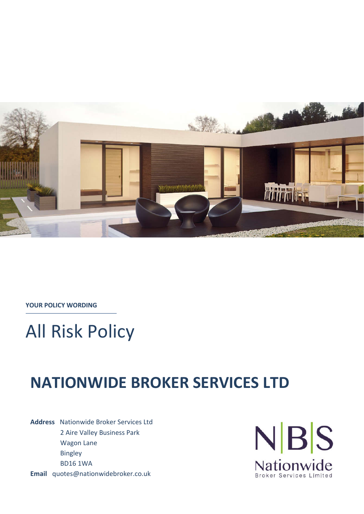

**YOUR POLICY WORDING**

# All Risk Policy

# **NATIONWIDE BROKER SERVICES LTD**

**Address** Nationwide Broker Services Ltd 2 Aire Valley Business Park Wagon Lane Bingley BD16 1WA **Email** quotes@nationwidebroker.co.uk

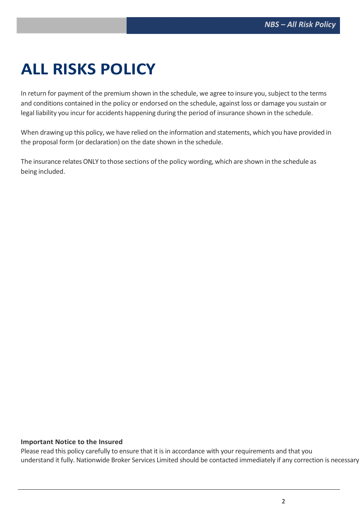# **ALL RISKS POLICY**

In return for payment of the premium shown in the schedule, we agree to insure you, subject to the terms and conditions contained in the policy or endorsed on the schedule, against loss or damage you sustain or legal liability you incur for accidents happening during the period of insurance shown in the schedule.

When drawing up this policy, we have relied on the information and statements, which you have provided in the proposal form (or declaration) on the date shown in the schedule.

The insurance relates ONLY to those sections of the policy wording, which are shown in the schedule as being included.

## **Important Notice to the Insured**

Please read this policy carefully to ensure that it is in accordance with your requirements and that you understand it fully. Nationwide Broker Services Limited should be contacted immediately if any correction is necessary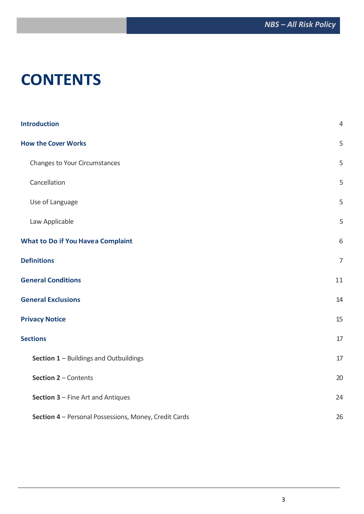# **CONTENTS**

| <b>Introduction</b>                                   | $\overline{4}$ |
|-------------------------------------------------------|----------------|
| <b>How the Cover Works</b>                            | 5              |
| Changes to Your Circumstances                         | 5              |
| Cancellation                                          | 5              |
| Use of Language                                       | 5              |
| Law Applicable                                        | 5              |
| <b>What to Do if You Havea Complaint</b>              | 6              |
| <b>Definitions</b>                                    | $\overline{7}$ |
| <b>General Conditions</b>                             | 11             |
| <b>General Exclusions</b>                             | 14             |
| <b>Privacy Notice</b>                                 | 15             |
| <b>Sections</b>                                       | 17             |
| Section 1 - Buildings and Outbuildings                | 17             |
| Section 2 - Contents                                  | 20             |
| Section 3 - Fine Art and Antiques                     | 24             |
| Section 4 - Personal Possessions, Money, Credit Cards | 26             |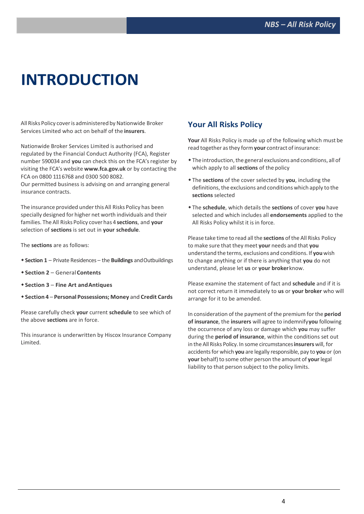# **INTRODUCTION**

All Risks Policy cover is administered by Nationwide Broker Services Limited who act on behalf of the **insurers**.

Nationwide Broker Services Limited is authorised and regulated by the Financial Conduct Authority (FCA), Register number 590034 and **you** can check this on the FCA's register by visiting the FCA's website **www.fca.gov.uk** or by contacting the FCA on 0800 111 6768 and 0300 500 8082.

Our permitted business is advising on and arranging general insurance contracts.

The insurance provided underthis All Risks Policy has been specially designed for higher net worth individuals and their families. TheAll Risks Policy cover has 4 **sections**, and **your**  selection of **sections** is set out in **your schedule**.

The **sections** are as follows:

- **Section 1**  Private Residences the **Buildings** andOutbuildings
- **Section 2**  General**Contents**
- **Section 3 Fine Art andAntiques**
- **Section 4 Personal Possessions; Money** and **Credit Cards**

Please carefully check **your** current **schedule** to see which of the above **sections** are in force.

This insurance is underwritten by Hiscox Insurance Company Limited.

## **Your All Risks Policy**

**Your** All Risks Policy is made up of the following which must be read together asthey form**your** contract of insurance:

- The introduction,the general exclusions and conditions, all of which apply to all **sections** of the policy
- The **sections** of the cover selected by **you**, including the definitions, the exclusions and conditions which apply to the **sections** selected
- The **schedule**, which details the **sections** of cover **you** have selected and which includes all **endorsements** applied to the All Risks Policy whilst it is in force.

Please take time to read all the **sections** of the All Risks Policy to make sure that they meet **your** needs and that **you**  understand the terms, exclusions and conditions. If **you** wish to change anything or if there is anything that **you** do not understand, please let **us** or **your broker**know.

Please examine the statement of fact and **schedule** and if it is not correct return it immediately to **us** or **your broker** who will arrange for it to be amended.

In consideration of the payment of the premium forthe **period of insurance**, the **insurers** will agree to indemnify**you** following the occurrence of any loss or damage which **you** may suffer during the **period of insurance**, within the conditions set out in the All Risks Policy.In some circumstances**insurers** will, for accidentsfor which **you** are legally responsible, pay to **you** or (on **your** behalf) to some other person the amount of **your** legal liability to that person subject to the policy limits.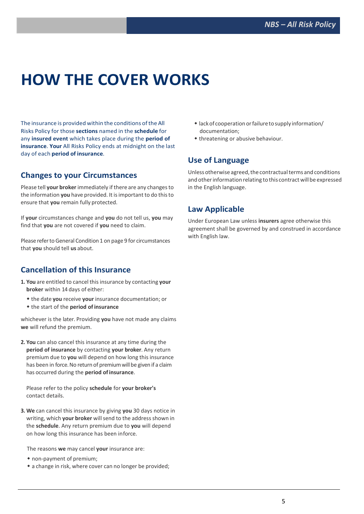# **HOW THE COVER WORKS**

The insurance is provided within the conditions ofthe All Risks Policy for those **sections** named in the **schedule** for any **insured event** which takes place during the **period of insurance**. **Your** All Risks Policy ends at midnight on the last day of each **period of insurance**.

## **Changes to your Circumstances**

Please tell your broker immediately if there are any changes to the information **you** have provided. It isimportant to do thisto ensure that **you** remain fully protected.

If **your** circumstances change and **you** do not tell us, **you** may find that **you** are not covered if **you** need to claim.

Please refer to General Condition 1 on page 9 for circumstances that **you** should tell **us** about.

## **Cancellation of this Insurance**

- **1. You** are entitled to cancel thisinsurance by contacting **your broker** within 14 days of either:
	- the date **you** receive **your** insurance documentation; or
	- the start of the **period of insurance**

whichever is the later. Providing **you** have not made any claims **we** will refund the premium.

**2. You** can also cancel this insurance at any time during the **period of insurance** by contacting **your broker**. Any return premium due to **you** will depend on how long this insurance has been in force. No return of premium will be given if a claim has occurred during the **period ofinsurance**.

Please refer to the policy **schedule** for **your broker's** contact details.

**3. We** can cancel this insurance by giving **you** 30 days notice in writing, which **your broker** will send to the address shown in the **schedule**. Any return premium due to **you** will depend on how long this insurance has been inforce.

The reasons **we** may cancel **your** insurance are:

- non-payment of premium;
- a change in risk, where cover can no longer be provided;
- lackof cooperationorfailuretosupply information/ documentation;
- threatening or abusive behaviour.

# **Use of Language**

Unless otherwise agreed, the contractual terms and conditions and other information relating to this contract will be expressed in the English language.

## **Law Applicable**

Under European Law unless **insurers** agree otherwise this agreement shall be governed by and construed in accordance with English law.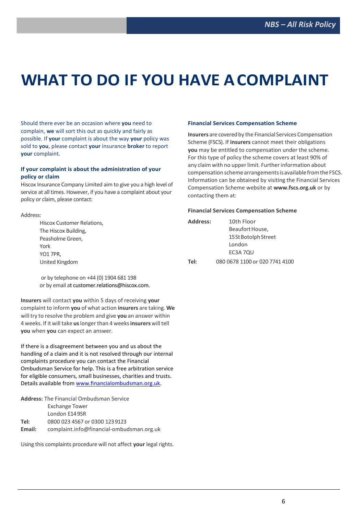# **WHAT TO DO IF YOU HAVE ACOMPLAINT**

Should there ever be an occasion where **you** need to complain, **we** will sort this out as quickly and fairly as possible. If **your** complaint is about the way **your** policy was sold to **you**, please contact **your** insurance **broker** to report **your** complaint.

#### **If your complaint is about the administration of your policy or claim**

Hiscox Insurance Company Limited aim to give you a high level of service at all times. However, if you have a complaint about your policy or claim, please contact:

#### Address:

Hiscox Customer Relations, The Hiscox Building, Peasholme Green, York YO1 7PR United Kingdom

or by telephone on +44 (0) 1904 681 198 or by email at customer.relations@hiscox.com.

**Insurers** will contact **you** within 5 days of receiving **your**  complaint to inform **you** of what action **insurers** are taking. **We**  will try to resolve the problem and give **you** an answer within 4 weeks. If it will take **us**longerthan 4 weeks**insurers** will tell **you** when **you** can expect an answer.

If there is a disagreement between you and us about the handling of a claim and it is not resolved through our internal complaints procedure you can contact the Financial Ombudsman Service for help. This is a free arbitration service for eligible consumers, small businesses, charities and trusts. Details available from www.financialombudsman.org.uk.

|        | <b>Address:</b> The Financial Ombudsman Service |
|--------|-------------------------------------------------|
|        | <b>Exchange Tower</b>                           |
|        | London E14 9SR                                  |
| Tel:   | 0800 023 4567 or 0300 123 9123                  |
| Email: | complaint.info@financial-ombudsman.org.uk       |

Using this complaints procedure will not affect **your** legal rights.

## **Financial Services Compensation Scheme**

**Insurers** are covered by the Financial Services Compensation Scheme (FSCS). If **insurers** cannot meet their obligations **you** may be entitled to compensation under the scheme. For this type of policy the scheme covers at least 90% of any claim with no upper limit. Further information about compensation scheme arrangementsis available fromthe FSCS. Information can be obtained by visiting the Financial Services Compensation Scheme website at **www.fscs.org.uk** or by contacting them at:

#### **Financial Services Compensation Scheme**

| Address: | 10th Floor                     |
|----------|--------------------------------|
|          | Beaufort House,                |
|          | 15 St Botolph Street           |
|          | London                         |
|          | EC3A 7QU                       |
| Tel:     | 080 0678 1100 or 020 7741 4100 |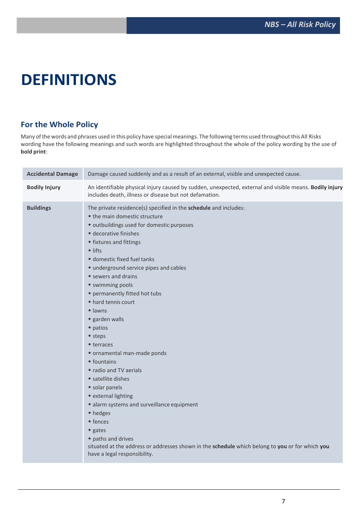# **DEFINITIONS**

# **For the Whole Policy**

Many of the words and phrases used in this policy have special meanings. The following terms used throughout this All Risks wording have the following meanings and such words are highlighted throughout the whole of the policy wording by the use of **bold print**:

| <b>Accidental Damage</b> | Damage caused suddenly and as a result of an external, visible and unexpected cause.                                                                                                                                                                                                                                                                                                                                                                                                                                                                                                                                                                                                                                                                                                                                                                                                     |
|--------------------------|------------------------------------------------------------------------------------------------------------------------------------------------------------------------------------------------------------------------------------------------------------------------------------------------------------------------------------------------------------------------------------------------------------------------------------------------------------------------------------------------------------------------------------------------------------------------------------------------------------------------------------------------------------------------------------------------------------------------------------------------------------------------------------------------------------------------------------------------------------------------------------------|
| <b>Bodily Injury</b>     | An identifiable physical injury caused by sudden, unexpected, external and visible means. Bodily injury<br>includes death, illness or disease but not defamation.                                                                                                                                                                                                                                                                                                                                                                                                                                                                                                                                                                                                                                                                                                                        |
| <b>Buildings</b>         | The private residence(s) specified in the schedule and includes:<br>• the main domestic structure<br>• outbuildings used for domestic purposes<br>• decorative finishes<br>• fixtures and fittings<br>$\bullet$ lifts<br>• domestic fixed fuel tanks<br>• underground service pipes and cables<br>* sewers and drains<br>• swimming pools<br>• permanently fitted hot tubs<br>◆ hard tennis court<br>$\triangle$ lawns<br>• garden walls<br>$\bullet$ patios<br>◆ steps<br>◆ terraces<br>• ornamental man-made ponds<br>$\triangle$ fountains<br>• radio and TV aerials<br>• satellite dishes<br>• solar panels<br>• external lighting<br>• alarm systems and surveillance equipment<br>• hedges<br>◆ fences<br>$\bullet$ gates<br>◆ paths and drives<br>situated at the address or addresses shown in the schedule which belong to you or for which you<br>have a legal responsibility. |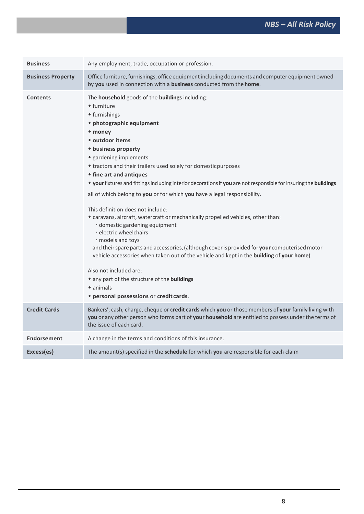| <b>Business</b>          | Any employment, trade, occupation or profession.                                                                                                                                                                                                                                                                                                                                                                                                                                                                                                                                                                                                                                                                                                                                                                                                                                                                                                                                                                                            |
|--------------------------|---------------------------------------------------------------------------------------------------------------------------------------------------------------------------------------------------------------------------------------------------------------------------------------------------------------------------------------------------------------------------------------------------------------------------------------------------------------------------------------------------------------------------------------------------------------------------------------------------------------------------------------------------------------------------------------------------------------------------------------------------------------------------------------------------------------------------------------------------------------------------------------------------------------------------------------------------------------------------------------------------------------------------------------------|
| <b>Business Property</b> | Office furniture, furnishings, office equipment including documents and computer equipment owned<br>by you used in connection with a business conducted from the home.                                                                                                                                                                                                                                                                                                                                                                                                                                                                                                                                                                                                                                                                                                                                                                                                                                                                      |
| <b>Contents</b>          | The household goods of the buildings including:<br>• furniture<br>• furnishings<br>* photographic equipment<br>• money<br>* outdoor items<br>• business property<br>• gardening implements<br>* tractors and their trailers used solely for domesticpurposes<br>• fine art and antiques<br>* your fixtures and fittings including interior decorations if you are not responsible for insuring the buildings<br>all of which belong to you or for which you have a legal responsibility.<br>This definition does not include:<br>* caravans, aircraft, watercraft or mechanically propelled vehicles, other than:<br>· domestic gardening equipment<br>· electric wheelchairs<br>· models and toys<br>and their spare parts and accessories, (although cover is provided for your computerised motor<br>vehicle accessories when taken out of the vehicle and kept in the building of your home).<br>Also not included are:<br>* any part of the structure of the buildings<br>$\bullet$ animals<br>* personal possessions or credit cards. |
| <b>Credit Cards</b>      | Bankers', cash, charge, cheque or credit cards which you or those members of your family living with<br>you or any other person who forms part of your household are entitled to possess under the terms of<br>the issue of each card.                                                                                                                                                                                                                                                                                                                                                                                                                                                                                                                                                                                                                                                                                                                                                                                                      |
| <b>Endorsement</b>       | A change in the terms and conditions of this insurance.                                                                                                                                                                                                                                                                                                                                                                                                                                                                                                                                                                                                                                                                                                                                                                                                                                                                                                                                                                                     |
| Excess(es)               | The amount(s) specified in the schedule for which you are responsible for each claim                                                                                                                                                                                                                                                                                                                                                                                                                                                                                                                                                                                                                                                                                                                                                                                                                                                                                                                                                        |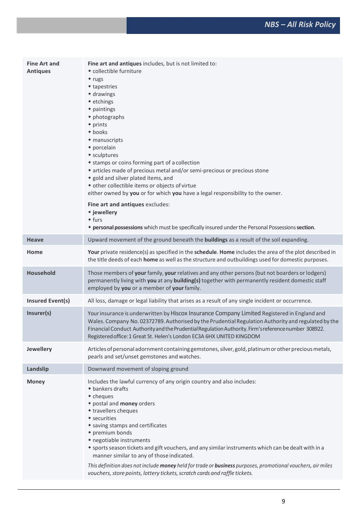| <b>Fine Art and</b><br><b>Antiques</b> | Fine art and antiques includes, but is not limited to:<br>• collectible furniture<br>• rugs<br>◆ tapestries<br>• drawings<br>• etchings<br>• paintings<br>• photographs<br>• prints<br>$\bullet$ books<br>• manuscripts<br>• porcelain<br>• sculptures<br>* stamps or coins forming part of a collection<br>* articles made of precious metal and/or semi-precious or precious stone<br>• gold and silver plated items, and<br>• other collectible items or objects of virtue<br>either owned by you or for which you have a legal responsibility to the owner.<br>Fine art and antiques excludes:<br>* jewellery<br>$•$ furs<br>* personal possessions which must be specifically insured under the Personal Possessions section. |
|----------------------------------------|------------------------------------------------------------------------------------------------------------------------------------------------------------------------------------------------------------------------------------------------------------------------------------------------------------------------------------------------------------------------------------------------------------------------------------------------------------------------------------------------------------------------------------------------------------------------------------------------------------------------------------------------------------------------------------------------------------------------------------|
| <b>Heave</b>                           | Upward movement of the ground beneath the <b>buildings</b> as a result of the soil expanding.                                                                                                                                                                                                                                                                                                                                                                                                                                                                                                                                                                                                                                      |
| Home                                   | Your private residence(s) as specified in the schedule. Home includes the area of the plot described in<br>the title deeds of each home as well as the structure and outbuildings used for domestic purposes.                                                                                                                                                                                                                                                                                                                                                                                                                                                                                                                      |
| Household                              | Those members of your family, your relatives and any other persons (but not boarders or lodgers)<br>permanently living with you at any building(s) together with permanently resident domestic staff<br>employed by you or a member of your family.                                                                                                                                                                                                                                                                                                                                                                                                                                                                                |
| <b>Insured Event(s)</b>                | All loss, damage or legal liability that arises as a result of any single incident or occurrence.                                                                                                                                                                                                                                                                                                                                                                                                                                                                                                                                                                                                                                  |
| Insurer(s)                             | Your insurance is underwritten by Hiscox Insurance Company Limited Registered in England and<br>Wales. Company No. 02372789. Authorised by the Prudential Regulation Authority and regulated by the<br>Financial Conduct Authority and the Prudential Regulation Authority. Firm's reference number 308922.<br>Registered office: 1 Great St. Helen's London EC3A 6HX UNITED KINGDOM                                                                                                                                                                                                                                                                                                                                               |
| Jewellery                              | Articles of personal adornment containing gemstones, silver, gold, platinum or other precious metals,<br>pearls and set/unset gemstones and watches.                                                                                                                                                                                                                                                                                                                                                                                                                                                                                                                                                                               |
| Landslip                               | Downward movement of sloping ground                                                                                                                                                                                                                                                                                                                                                                                                                                                                                                                                                                                                                                                                                                |
| <b>Money</b>                           | Includes the lawful currency of any origin country and also includes:<br>◆ bankers drafts<br>• cheques<br>* postal and money orders<br>• travellers cheques<br>• securities<br>• saving stamps and certificates<br>• premium bonds<br>• negotiable instruments<br>* sports season tickets and gift vouchers, and any similar instruments which can be dealt with in a<br>manner similar to any of those indicated.<br>This definition does not include money held for trade or business purposes, promotional vouchers, air miles<br>vouchers, store points, lottery tickets, scratch cards and raffle tickets.                                                                                                                    |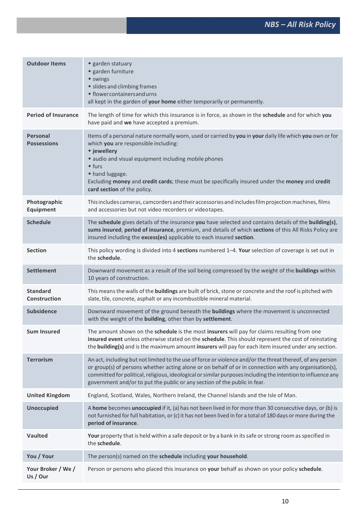| <b>Outdoor Items</b>            | • garden statuary<br>• garden furniture<br>• swings<br>• slides and climbing frames<br>• flower containers and urns<br>all kept in the garden of your home either temporarily or permanently.                                                                                                                                                                                                                     |
|---------------------------------|-------------------------------------------------------------------------------------------------------------------------------------------------------------------------------------------------------------------------------------------------------------------------------------------------------------------------------------------------------------------------------------------------------------------|
| <b>Period of Insurance</b>      | The length of time for which this insurance is in force, as shown in the schedule and for which you<br>have paid and we have accepted a premium.                                                                                                                                                                                                                                                                  |
| Personal<br><b>Possessions</b>  | Items of a personal nature normally worn, used or carried by you in your daily life which you own or for<br>which you are responsible including:<br>* jewellery<br>• audio and visual equipment including mobile phones<br>$\bullet$ furs<br>◆ hand luggage.<br>Excluding money and credit cards; these must be specifically insured under the money and credit<br>card section of the policy.                    |
| Photographic<br>Equipment       | This includes cameras, camcorders and their accessories and includes film projection machines, films<br>and accessories but not video recorders or videotapes.                                                                                                                                                                                                                                                    |
| <b>Schedule</b>                 | The schedule gives details of the insurance you have selected and contains details of the building(s),<br>sums insured, period of insurance, premium, and details of which sections of this All Risks Policy are<br>insured including the excess(es) applicable to each insured section.                                                                                                                          |
| <b>Section</b>                  | This policy wording is divided into 4 sections numbered 1-4. Your selection of coverage is set out in<br>the schedule.                                                                                                                                                                                                                                                                                            |
| <b>Settlement</b>               | Downward movement as a result of the soil being compressed by the weight of the buildings within<br>10 years of construction.                                                                                                                                                                                                                                                                                     |
| <b>Standard</b><br>Construction | This means the walls of the buildings are built of brick, stone or concrete and the roof is pitched with<br>slate, tile, concrete, asphalt or any incombustible mineral material.                                                                                                                                                                                                                                 |
| <b>Subsidence</b>               | Downward movement of the ground beneath the buildings where the movement is unconnected<br>with the weight of the building, other than by settlement.                                                                                                                                                                                                                                                             |
| <b>Sum Insured</b>              | The amount shown on the schedule is the most insurers will pay for claims resulting from one<br>insured event unless otherwise stated on the schedule. This should represent the cost of reinstating<br>the <b>building(s)</b> and is the maximum amount insurers will pay for each item insured under any section.                                                                                               |
| <b>Terrorism</b>                | An act, including but not limited to the use of force or violence and/or the threat thereof, of any person<br>or group(s) of persons whether acting alone or on behalf of or in connection with any organisation(s),<br>committed for political, religious, ideological or similar purposes including the intention to influence any<br>government and/or to put the public or any section of the public in fear. |
| <b>United Kingdom</b>           | England, Scotland, Wales, Northern Ireland, the Channel Islands and the Isle of Man.                                                                                                                                                                                                                                                                                                                              |
| <b>Unoccupied</b>               | A home becomes unoccupied if it, (a) has not been lived in for more than 30 consecutive days, or (b) is<br>not furnished for full habitation, or (c) it has not been lived in for a total of 180 days or more during the<br>period of insurance.                                                                                                                                                                  |
| <b>Vaulted</b>                  | Your property that is held within a safe deposit or by a bank in its safe or strong room as specified in<br>the schedule.                                                                                                                                                                                                                                                                                         |
| You / Your                      | The person(s) named on the schedule including your household.                                                                                                                                                                                                                                                                                                                                                     |
| Your Broker / We /<br>Us / Our  | Person or persons who placed this insurance on your behalf as shown on your policy schedule.                                                                                                                                                                                                                                                                                                                      |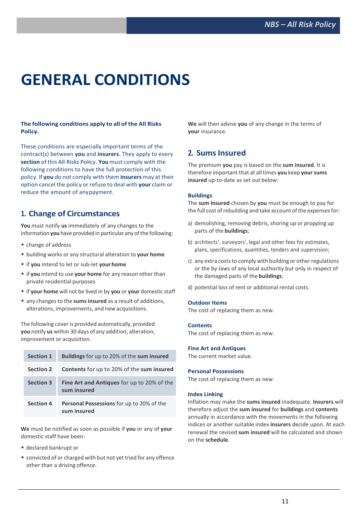# **GENERAL CONDITIONS**

#### **The following conditions apply to all of the All Risks Policy.**

These conditions are especially important terms of the contract(s) between **you** and **insurers**. They apply to every **section** of this All Risks Policy. **You** must comply with the following conditions to have the full protection of this policy. If **you** do not comply with them **insurers** may at their option cancel the policy or refuse to deal with **your** claim or reduce the amount of anypayment.

## **1. Change of Circumstances**

**You** must notify **us** immediately of any changes to the information **you** have provided in particular any of the following:

- change of address
- building works or any structural alteration to **your home**
- if **you** intend to let or sub-let **yourhome**
- if **you** intend to use **your home** for any reason other than private residential purposes
- if **your home** will not be lived in by **you** or **your** domestic staff
- any changesto the **sumsinsured** as a result of additions, alterations, improvements, and new acquisitions.

The following cover is provided automatically, provided **you** notify **us** within 30 days of any addition, alteration, improvement or acquisition.

| <b>Section 1</b> | <b>Buildings</b> for up to 20% of the sum insured                |
|------------------|------------------------------------------------------------------|
| <b>Section 2</b> | <b>Contents</b> for up to 20% of the sum insured                 |
| <b>Section 3</b> | <b>Fine Art and Antiques</b> for up to 20% of the<br>sum insured |
| <b>Section 4</b> | <b>Personal Possessions</b> for up to 20% of the<br>sum insured  |

**We** must be notified as soon as possible if **you** or any of **your** domestic staff have been:

- declared bankrupt or
- convicted of or charged with but not yet tried for any offence other than a driving offence.

**We** will then advise **you** of any change in the terms of **your** insurance.

# **2. SumsInsured**

The premium **you** pay is based on the **sum insured**. It is therefore important that at alltimes **you** keep **yoursums insured** up-to-date as set out below:

### **Buildings**

The **sum insured** chosen by **you** must be enough to pay for the full cost of rebuilding and take account of the expenses for:

- a) demolishing, removing debris, shoring up or propping up parts of the **buildings**;
- b) architects', surveyors', legal and other fees for estimates, plans, specifications, quantities, tenders and supervision;
- c) any extra costs to comply with building or other regulations or the by-laws of any local authority but only in respect of the damaged parts of the **buildings**;
- d) potential loss of rent or additional rental costs.

#### **Outdoor Items**

The cost of replacing them as new.

#### **Contents**

The cost of replacing them as new.

#### **Fine Art and Antiques**

The current market value.

#### **Personal Possessions**

The cost of replacing them as new.

#### **Index Linking**

Inflation may make the **sums insured** inadequate. **Insurers** will therefore adjust the **sum insured** for **buildings** and **contents**  annually in accordance with the movements in the following indices or another suitable index **insurers** decide upon. At each renewal the revised **sum insured** will be calculated and shown on the **schedule**.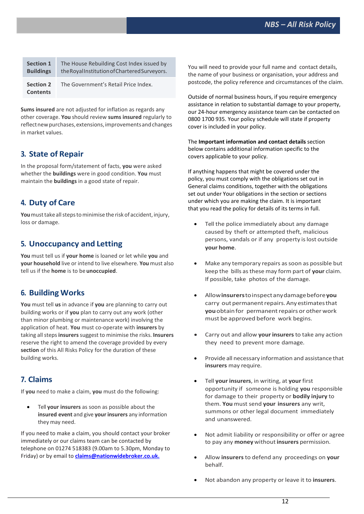| <b>Section 1</b>                    | The House Rebuilding Cost Index issued by     |
|-------------------------------------|-----------------------------------------------|
| <b>Buildings</b>                    | the Royal Institution of Chartered Surveyors. |
| <b>Section 2</b><br><b>Contents</b> | The Government's Retail Price Index.          |

**Sums insured** are not adjusted for inflation as regards any other coverage. **You** should review **sums insured** regularly to reflect new purchases, extensions, improvements and changes in market values.

## **3. State of Repair**

In the proposal form/statement of facts, **you** were asked whether the **buildings** were in good condition. **You** must maintain the **buildings** in a good state of repair.

# **4. Duty of Care**

You must take all steps to minimise the risk of accident, injury, loss or damage.

## **5. Unoccupancy and Letting**

**You** must tell us if **your home** is loaned or let while **you** and **your household** live or intend to live elsewhere. **You** must also tell us if the **home** is to be **unoccupied**.

# **6. Building Works**

**You** must tell **us** in advance if **you** are planning to carry out building works or if **you** plan to carry out any work (other than minor plumbing or maintenance work) involving the application of heat. **You** must co-operate with **insurers** by taking all steps insurers suggest to minimise the risks. Insurers reserve the right to amend the coverage provided by every **section** of this All Risks Policy for the duration of these building works.

# **7. Claims**

If **you** need to make a claim, **you** must do the following:

 Tell **your insurers** as soon as possible about the **insured event** and give **your insurers** any information they may need.

If you need to make a claim, you should contact your broker immediately or our claims team can be contacted by telephone on 01274 518383 (9.00am to 5.30pm, Monday to Friday) or by email to **claims@nationwidebroker.co.uk.**

You will need to provide your full name and contact details, the name of your business or organisation, your address and postcode, the policy reference and circumstances of the claim.

Outside of normal business hours, if you require emergency assistance in relation to substantial damage to your property, our 24-hour emergency assistance team can be contacted on 0800 1700 935. Your policy schedule will state if property cover is included in your policy.

The **Important information and contact details** section below contains additional information specific to the covers applicable to your policy.

If anything happens that might be covered under the policy, you must comply with the obligations set out in General claims conditions, together with the obligations set out under Your obligations in the section or sections under which you are making the claim. It is important that you read the policy for details of its terms in full.

- Tell the police immediately about any damage caused by theft or attempted theft, malicious persons, vandals or if any property islost outside **your home**.
- Make any temporary repairs as soon as possible but keep the bills asthese may form part of **your** claim. If possible, take photos of the damage.
- Allow**insurers**toinspectanydamagebefore**you** carry out permanent repairs. Any estimates that **you** obtain for permanent repairs or other work must be approved before work begins.
- Carry out and allow **your insurers**to take any action they need to prevent more damage.
- Provide all necessary information and assistance that **insurers** may require.
- Tell **your insurers**, in writing, at **your** first opportunity if someone is holding **you** responsible for damage to their property or **bodily injury** to them. **You** must send **your insurers** any writ, summons or other legal document immediately and unanswered.
- Not admit liability or responsibility or offer or agree to pay any **money** without**insurers** permission.
- Allow **insurers** to defend any proceedings on **your** behalf.
- Not abandon any property or leave it to **insurers**.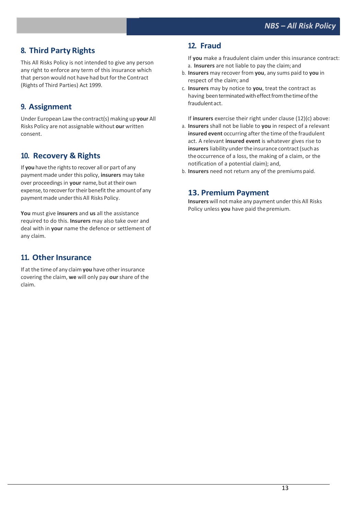# **8. Third Party Rights**

This All Risks Policy is not intended to give any person any right to enforce any term of this insurance which that person would not have had but forthe Contract (Rights of Third Parties) Act 1999.

# **9. Assignment**

Under European Law the contract(s) making up **your** All Risks Policy are not assignable without **our** written consent.

## **10. Recovery & Rights**

If you have the rights to recover all or part of any payment made under this policy, *insurers* may take over proceedings in your name, but at their own expense, to recover for their benefit the amount of any payment made under this All Risks Policy.

**You** must give **insurers** and **us** all the assistance required to do this. **Insurers** may also take over and deal with in **your** name the defence or settlement of any claim.

## **11. Other Insurance**

If at the time of any claim **you** have otherinsurance covering the claim, **we** will only pay **our** share of the claim.

# **12. Fraud**

If **you** make a fraudulent claim under this insurance contract: a. **Insurers** are not liable to pay the claim;and

- b. **Insurers** may recover from **you**, any sums paid to **you** in respect of the claim; and
- c. **Insurers** may by notice to **you**, treat the contract as having been terminated with effect from the time of the fraudulent act.
- If **insurers** exercise their right under clause (12)(c) above: a. **Insurers** shall not be liable to **you** in respect of a relevant **insured event** occurring after the time of the fraudulent act. A relevant **insured event** is whatever gives rise to **insurers** liability under the insurance contract (such as theoccurrence of a loss, the making of a claim, or the notification of a potential claim); and,
- b. **Insurers** need not return any of the premiums paid.

## **13. Premium Payment**

Insurers will not make any payment under this All Risks Policy unless **you** have paid thepremium.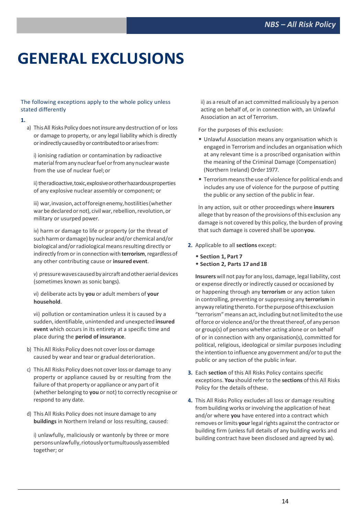# **GENERAL EXCLUSIONS**

#### The following exceptions apply to the whole policy unless stated differently

#### **1.**

a) This All Risks Policy does not insure any destruction of or loss or damage to property, or any legal liability which is directly or indirectly caused by or contributed to or arises from:

i) ionising radiation or contamination by radioactive material from any nuclear fuel or from any nuclear waste from the use of nuclear fuel;or

ii) theradioactive, toxic, explosive or other hazardous properties of any explosive nuclear assembly or component; or

iii) war, invasion, act of foreign enemy, hostilities (whether war be declared or not), civil war, rebellion, revolution, or military or usurped power.

iv) harm or damage to life or property (or the threat of such harmor damage) by nuclear and/or chemical and/or biological and/or radiological means resulting directly or indirectly from or in connection with **terrorism**, regardless of any other contributing cause or **insured event**.

v) pressurewavescausedbyaircraftandotheraerialdevices (sometimes known as sonic bangs).

vi) deliberate acts by **you** or adult members of **your household**.

vii) pollution or contamination unless it is caused by a sudden, identifiable, unintended and unexpected **insured event** which occurs in its entirety at a specific time and place during the **period of insurance**.

- b) This All Risks Policy does not coverloss or damage caused by wear and tear or gradual deterioration.
- c) This All Risks Policy does not coverloss or damage to any property or appliance caused by or resulting from the failure of that property or appliance or any part of it (whether belonging to **you** or not) to correctly recognise or respond to any date.
- d) This All Risks Policy does not insure damage to any **buildings** in Northern Ireland or loss resulting, caused:

i) unlawfully, maliciously or wantonly by three or more personsunlawfully,riotouslyortumultuouslyassembled together; or

ii) as a result of an act committed maliciously by a person acting on behalf of, or in connection with, an Unlawful Association an act of Terrorism.

For the purposes of this exclusion:

- Unlawful Association means any organisation which is engaged in Terrorismand includes an organisation which at any relevant time is a proscribed organisation within the meaning of the Criminal Damage (Compensation) (Northern Ireland) Order 1977.
- Terrorismmeansthe use of violence for political ends and includes any use of violence for the purpose of putting the public or any section of the public in fear.

In any action, suit or other proceedings where **insurers**  allege that by reason of the provisions of this exclusion any damage is not covered by this policy, the burden of proving that such damage is covered shall be upon**you**.

- **2.** Applicable to all **sections** except:
	- **Section 1, Part 7**
	- **Section 2, Parts 17 and18**

**Insurers** will not pay for any loss, damage, legal liability, cost or expense directly or indirectly caused or occasioned by or happening through any **terrorism** or any action taken in controlling, preventing or suppressing any **terrorism** in anyway relating thereto. For the purpose of this exclusion "terrorism" means an act, including but not limited to the use of force or violence and/or the threat thereof, of any person or group(s) of persons whether acting alone or on behalf of or in connection with any organisation(s), committed for political, religious, ideological or similar purposes including the intention to influence any government and/or to put the public or any section of the public infear.

- **3.** Each **section** of this All Risks Policy contains specific exceptions. **You** should refer to the **sections** of this All Risks Policy for the details ofthese.
- **4.** This All Risks Policy excludes all loss or damage resulting from building works or involving the application of heat and/or where **you** have entered into a contract which removes or limits your legal rights against the contractor or building firm (unless full details of any building works and building contract have been disclosed and agreed by **us**).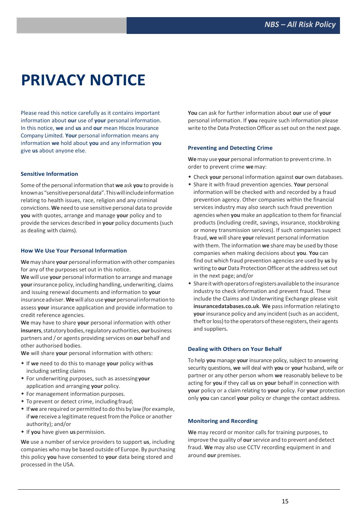# **PRIVACY NOTICE**

Please read this notice carefully as it contains important information about **our** use of **your** personal information. In this notice, **we** and **us** and **our** mean Hiscox Insurance Company Limited. **Your** personal information means any information **we** hold about **you** and any information **you**  give **us** about anyone else.

#### **Sensitive Information**

Some of the personal information that **we** ask **you** to provide is knownas"sensitivepersonaldata".Thiswillincludeinformation relating to health issues, race, religion and any criminal convictions. **We** need to use sensitive personal data to provide **you** with quotes, arrange and manage **your** policy and to provide the services described in **your** policy documents(such as dealing with claims).

#### **How We Use Your Personal Information**

**We**may share **your** personal information with other companies for any of the purposes set out in this notice.

**We** will use **your** personal information to arrange and manage **your**insurance policy, including handling, underwriting, claims and issuing renewal documents and information to **your**  insuranceadviser.**We**will also use **your** personal information to assess **your** insurance application and provide information to credit reference agencies.

**We** may have to share **your** personal information with other **insurers**,statutorybodies,regulatoryauthorities,**our**business partners and / or agents providing services on **our** behalf and other authorised bodies.

**We** will share **your** personal information with others:

- If **we** need to do this to manage **your** policy with**us** including settling claims
- For underwriting purposes, such as assessing**your** application and arranging **your** policy.
- For management information purposes.
- To prevent or detect crime, including fraud;
- If**we** are required or permitted to do this by law(for example, if we receive a legitimate request from the Police or another authority); and/or
- If **you** have given **us** permission.

**We** use a number of service providers to support **us**, including companies who may be based outside of Europe. By purchasing this policy **you** have consented to **your** data being stored and processed in the USA.

**You** can ask for further information about **our** use of **your**  personal information. If **you** require such information please write to the Data Protection Officer as set out on the next page.

#### **Preventing and Detecting Crime**

**We**may use **your** personal information to prevent crime. In order to prevent crime **we**may:

- Check **your** personal information against **our** own databases.
- Share it with fraud prevention agencies. **Your** personal information will be checked with and recorded by a fraud prevention agency. Other companies within the financial services industry may also search such fraud prevention agencies when **you** make an application to them for financial products (including credit, savings, insurance, stockbroking or money transmission services). If such companies suspect fraud, **we** willshare **your** relevant personal information with them. The information **we** share may be used by those companies when making decisions about **you**. **You** can find out which fraud prevention agencies are used by **us** by writing to **our** Data Protection Officer at the address set out in the next page; and/or
- Shareitwithoperatorsofregistersavailabletothe insurance industry to check information and prevent fraud. These include the Claims and Underwriting Exchange please visit **insurancedatabases.co.uk**. **We** pass information relatingto **your** insurance policy and any incident (such as an accident, theft or loss) to the operators of these registers, their agents and suppliers.

#### **Dealing with Others on Your Behalf**

To help **you** manage **your** insurance policy, subject to answering security questions, **we** will deal with **you** or **your** husband, wife or partner or any other person whom **we** reasonably believe to be acting for **you** if they call **us** on **your** behalf in connection with **your** policy or a claim relating to **your** policy. For **your** protection only **you** can cancel **your** policy or change the contact address.

#### **Monitoring and Recording**

**We** may record or monitor calls for training purposes, to improve the quality of **our**service and to prevent and detect fraud. **We** may also use CCTV recording equipment in and around **our** premises.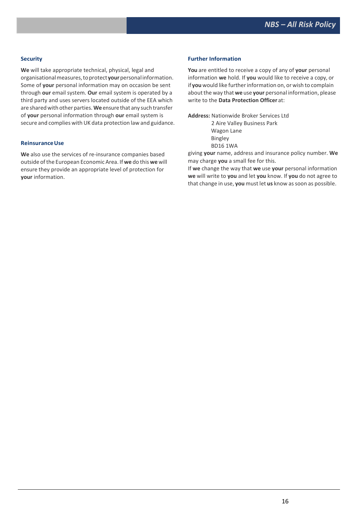#### **Security**

**We** will take appropriate technical, physical, legal and organisationalmeasures,toprotect**your**personalinformation. Some of **your** personal information may on occasion be sent through **our** email system. **Our** email system is operated by a third party and uses servers located outside of the EEA which are shared with other parties. We ensure that any such transfer of **your** personal information through **our** email system is secure and complies with UK data protection law and guidance.

#### **ReinsuranceUse**

**We** also use the services of re-insurance companies based outside ofthe European Economic Area. If **we** do this **we** will ensure they provide an appropriate level of protection for **your** information.

#### **Further Information**

**You** are entitled to receive a copy of any of **your** personal information **we** hold. If **you** would like to receive a copy, or if you would like further information on, or wish to complain aboutthe way that **we** use **your** personal information, please write to the **Data Protection Officer** at:

**Address:** Nationwide Broker Services Ltd

2 Aire Valley Business Park Wagon Lane Bingley BD16 1WA

giving **your** name, address and insurance policy number. **We** may charge **you** a small fee for this.

If **we** change the way that **we** use **your** personal information **we** will write to **you** and let **you** know. If **you** do not agree to that change in use, you must let us know as soon as possible.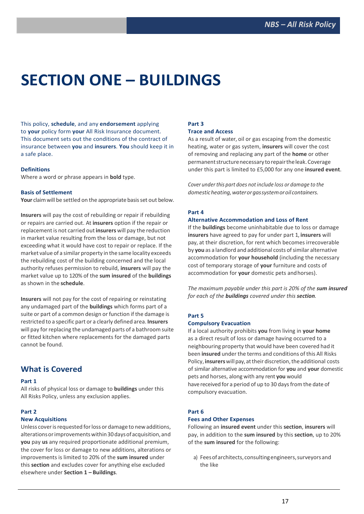# **SECTION ONE – BUILDINGS**

This policy, **schedule**, and any **endorsement** applying to **your** policy form **your** All Risk Insurance document. This document sets out the conditions of the contract of insurance between **you** and **insurers**. **You** should keep it in a safe place.

#### **Definitions**

Where a word or phrase appears in **bold** type.

#### **Basis of Settlement**

Your claim will be settled on the appropriate basis set out below.

**Insurers** will pay the cost of rebuilding or repair if rebuilding or repairs are carried out. At **insurers** option if the repair or replacement is not carried out **insurers** will pay the reduction in market value resulting from the loss or damage, but not exceeding what it would have cost to repair or replace. If the market value of a similar property in the same locality exceeds the rebuilding cost of the building concerned and the local authority refuses permission to rebuild, **insurers** will pay the market value up to 120% of the **sum insured** of the **buildings**  as shown in the **schedule**.

**Insurers** will not pay for the cost of repairing or reinstating any undamaged part of the **buildings** which forms part of a suite or part of a common design or function if the damage is restricted to a specific part or a clearly defined area. **Insurers** will pay for replacing the undamaged parts of a bathroom suite or fitted kitchen where replacements for the damaged parts cannot be found.

## **What is Covered**

#### **Part 1**

All risks of physical loss or damage to **buildings** under this All Risks Policy, unless any exclusion applies.

#### **Part 2**

### **New Acquisitions**

Unless cover is requested for loss or damage to new additions, alterationsorimprovementswithin30daysof acquisition,and **you** pay **us** any required proportionate additional premium, the cover for loss or damage to new additions, alterations or improvements is limited to 20% of the **sum insured** under this **section** and excludes cover for anything else excluded elsewhere under **Section 1 – Buildings**.

## **Part 3**

#### **Trace and Access**

As a result of water, oil or gas escaping from the domestic heating, water or gas system, **insurers** will cover the cost of removing and replacing any part of the **home** or other permanentstructurenecessary torepairtheleak.Coverage under this part is limited to £5,000 for any one **insured event**.

*Cover under this part does not include loss or damage to the domesticheating,waterorgassystemoroilcontainers.*

#### **Part 4**

#### **Alternative Accommodation and Loss of Rent**

If the **buildings** become uninhabitable due to loss or damage **insurers** have agreed to pay for under part 1, **insurers** will pay, at their discretion, for rent which becomes irrecoverable by **you** as a landlord and additional costs of similar alternative accommodation for **your household** (including the necessary cost of temporary storage of **your** furniture and costs of accommodation for **your** domestic pets andhorses).

*The maximum payable under this part is 20% of the sum insured for each of the buildings covered under this section.*

#### **Part 5**

#### **Compulsory Evacuation**

If a local authority prohibits **you** from living in **your home**  as a direct result of loss or damage having occurred to a neighbouring property that would have been covered had it been **insured** under the terms and conditions of this All Risks Policy, **insurers** will pay, at their discretion, the additional costs of similar alternative accommodation for **you** and **your** domestic pets and horses, along with any rent **you** would have received for a period of up to 30 days from the date of compulsory evacuation.

#### **Part 6**

#### **Fees and Other Expenses**

Following an **insured event** under this **section**, **insurers** will pay, in addition to the **sum insured** by this **section**, up to 20% of the **sum insured** for the following:

a) Fees of architects, consulting engineers, surveyors and the like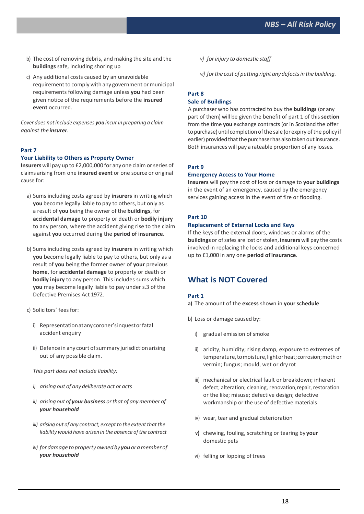- b) The cost of removing debris, and making the site and the **buildings** safe, including shoring up
- c) Any additional costs caused by an unavoidable requirement to comply with any government or municipal requirements following damage unless **you** had been given notice of the requirements before the **insured event** occurred.

*Cover does not include expenses you incur in preparing a claim against the insurer.*

### **Part 7**

#### **Your Liability to Others as Property Owner**

**Insurers** will pay up to £2,000,000 for any one claim or series of claims arising from one **insured event** or one source or original cause for:

- a) Sums including costs agreed by **insurers** in writing which **you** become legally liable to pay to others, but only as a result of **you** being the owner of the **buildings**, for **accidental damage** to property or death or **bodily injury**  to any person, where the accident giving rise to the claim against **you** occurred during the **period of insurance**.
- b) Sums including costs agreed by **insurers** in writing which **you** become legally liable to pay to others, but only as a result of **you** being the former owner of **your** previous **home**, for **accidental damage** to property or death or **bodily injury** to any person. This includes sums which **you** may become legally liable to pay under s.3 of the Defective Premises Act 1972.
- c) Solicitors' fees for:
	- i) Representationatanycoroner'sinquestorfatal accident enquiry
	- ii) Defence in any court of summary jurisdiction arising out of any possible claim.

*This part does not include liability:*

- *i) arising out of any deliberate act or acts*
- *ii) arising out of your business orthat of anymember of your household*
- *iii) arising out of any contract, exceptto the extent that the liability would have arisen in the absence of the contract*
- *iv) fordamage to propertyownedby you oramemberof your household*

*v) forinjury to domestic staff*

*vi) forthe cost of putting right anydefectsin the building.*

### **Part 8 Sale of Buildings**

A purchaser who has contracted to buy the **buildings** (or any part of them) will be given the benefit of part 1 of this **section**  from the time **you** exchange contracts (or in Scotland the offer to purchase) until completion of the sale (or expiry of the policy if earlier) provided that the purchaser has also taken out insurance. Both insurances will pay a rateable proportion of any losses.

#### **Part 9**

#### **Emergency Access to Your Home**

**Insurers** will pay the cost of loss or damage to **your buildings**  in the event of an emergency, caused by the emergency services gaining access in the event of fire or flooding.

#### **Part 10**

#### **Replacement of External Locks and Keys**

If the keys of the external doors, windows or alarms of the **buildings** or of safes are lost or stolen, **insurers** will pay the costs involved in replacing the locks and additional keys concerned up to £1,000 in any one **period ofinsurance**.

## **What is NOT Covered**

#### **Part 1**

**a)** The amount of the **excess** shown in **your schedule**

- b) Loss or damage caused by:
	- i) gradual emission of smoke
	- ii) aridity, humidity; rising damp, exposure to extremes of temperature, to moisture, light or heat; corrosion; moth or vermin; fungus; mould, wet or dryrot
	- iii) mechanical or electrical fault or breakdown; inherent defect; alteration; cleaning, renovation,repair, restoration or the like; misuse; defective design; defective workmanship or the use of defective materials
	- iv) wear, tear and gradual deterioration
	- **v)** chewing, fouling, scratching or tearing by **your** domestic pets
	- vi) felling or lopping of trees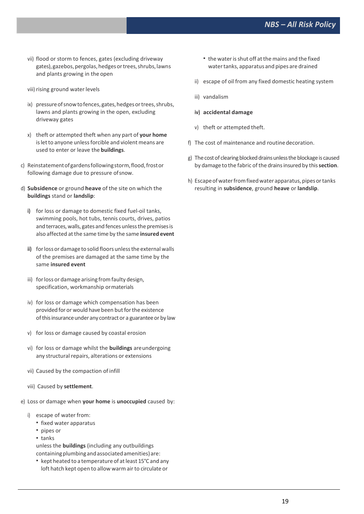- vii) flood or storm to fences, gates (excluding driveway gates),gazebos,pergolas,hedgesortrees,shrubs,lawns and plants growing in the open
- viii) rising ground water levels
- ix) pressure of snow to fences, gates, hedges or trees, shrubs, lawns and plants growing in the open, excluding driveway gates
- x) theft or attempted theft when any part of **your home**  is let to anyone unless forcible and violent means are used to enter or leave the **buildings**.
- c) Reinstatementofgardensfollowingstorm,flood,frostor following damage due to pressure ofsnow.
- d) **Subsidence** or ground **heave** of the site on which the **buildings** stand or **landslip**:
	- **i)** for loss or damage to domestic fixed fuel-oil tanks, swimming pools, hot tubs, tennis courts, drives, patios and terraces, walls, gates and fences unless the premises is also affected atthe same time by the same **insured event**
	- **ii)** forlossor damage to solid floorsunlessthe external walls of the premises are damaged at the same time by the same **insured event**
	- iii) for loss or damage arising from faulty design. specification, workmanship ormaterials
	- iv) for loss or damage which compensation has been provided for or would have been but for the existence of this insurance under any contract or a guarantee or by law
	- v) for loss or damage caused by coastal erosion
	- vi) for loss or damage whilst the **buildings** areundergoing any structural repairs, alterations or extensions
	- vii) Caused by the compaction of infill
	- viii) Caused by **settlement**.
- e) Loss or damage when **your home** is **unoccupied** caused by:
	- i) escape of water from:
		- **fixed water apparatus**
		- pipes or
		- tanks

unless the **buildings** (including any outbuildings containing plumbing and associated amenities) are:

■ kept heated to a temperature of at least 15°C and any loft hatch kept open to allow warm air to circulate or

- the waterisshut off atthe mains and the fixed watertanks, apparatus and pipes are drained
- ii) escape of oil from any fixed domestic heating system
- iii) vandalism
- **iv) accidental damage**
- v) theft or attempted theft.
- f) The cost of maintenance and routinedecoration.
- g) The cost of clearing blocked drains unless the blockage is caused by damage to the fabric of the drainsinsured by this**section**.
- h) Escape of water from fixed water apparatus, pipes or tanks resulting in **subsidence**, ground **heave** or **landslip**.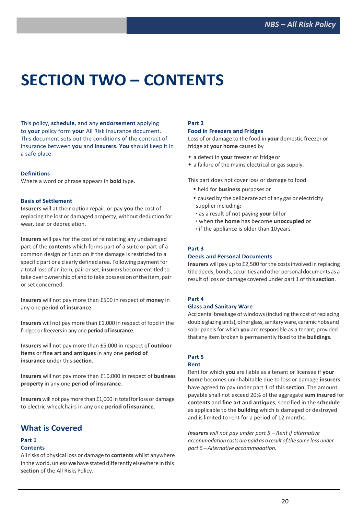# **SECTION TWO – CONTENTS**

This policy, **schedule**, and any **endorsement** applying to **your** policy form **your** All Risk Insurance document. This document sets out the conditions of the contract of insurance between **you** and **insurers**. **You** should keep it in a safe place.

#### **Definitions**

Where a word or phrase appears in **bold** type.

#### **Basis of Settlement**

**Insurers** will at their option repair, or pay **you** the cost of replacing the lost or damaged property, without deduction for wear, tear or depreciation.

**Insurers** will pay for the cost of reinstating any undamaged part of the **contents** which forms part of a suite or part of a common design or function if the damage is restricted to a specific part or a clearly defined area. Following payment for a total loss of an item, pair orset, **insurers** become entitled to take over ownership of and to take possession of the item, pair or set concerned.

**Insurers** will not pay more than £500 in respect of **money** in any one **period of insurance**.

**Insurers** will not pay more than £1,000 in respect of food in the fridges or freezers in any one **period of insurance**.

**Insurers** will not pay more than £5,000 in respect of **outdoor items** or **fine art and antiques** in any one **period of insurance** under this **section**.

**Insurers** will not pay more than £10,000 in respect of **business property** in any one **period of insurance**.

**Insurers** will not pay more than £1,000 in total for loss or damage to electric wheelchairs in any one **period ofinsurance**.

## **What is Covered**

## **Part 1**

### **Contents**

Allrisks of physical loss or damage to **contents** whilst anywhere in theworld, unless**we** have stated differently elsewhere in this section of the All Risks Policy.

#### **Part 2**

#### **Food in Freezers and Fridges**

Loss of or damage to the food in **your** domestic freezer or fridge at **your home** caused by

- a defect in **your** freezer or fridgeor
- a failure of the mains electrical or gas supply.

This part does not cover loss or damage to food

- held for **business** purposes or
- caused by the deliberate act of any gas or electricity supplier including:
- as a result of not paying **your** billor
- when the **home** has become **unoccupied** or
- if the appliance is older than 10years

#### **Part 3**

#### **Deeds and Personal Documents**

**Insurers** will pay up to £2,500 for the costs involved in replacing title deeds, bonds, securities and other personal documents as a result of loss or damage covered under part 1 of this**section**.

## **Part 4**

#### **Glass and Sanitary Ware**

Accidental breakage of windows(including the cost of replacing double glazing units), other glass, sanitary ware, ceramic hobs and solar panels for which **you** are responsible as a tenant, provided that any item broken is permanently fixed to the **buildings**.

## **Part 5**

#### **Rent**

Rent for which **you** are liable as a tenant or licensee if **your home** becomes uninhabitable due to loss or damage **insurers**  have agreed to pay under part 1 of this **section**. The amount payable shall not exceed 20% of the aggregate **sum insured** for **contents** and **fine art and antiques**, specified in the **schedule**  as applicable to the **building** which is damaged or destroyed and is limited to rent for a period of 12 months.

*Insurers will not pay under part 5 – Rent if alternative accommodation costs are paid as a result of the same loss under part 6 – Alternative accommodation.*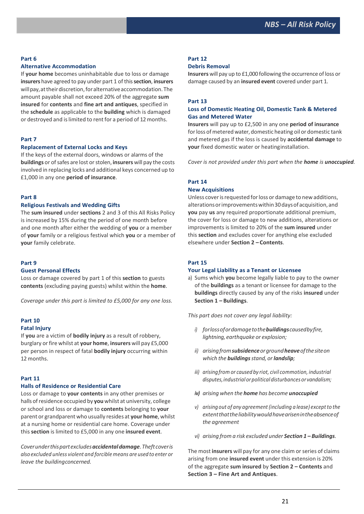#### **Part 6**

#### **Alternative Accommodation**

If **your home** becomes uninhabitable due to loss or damage **insurers** have agreed to pay under part 1 of this**section**, **insurers**  willpay,attheirdiscretion,foralternativeaccommodation.The amount payable shall not exceed 20% of the aggregate **sum insured** for **contents** and **fine art and antiques**, specified in the **schedule** as applicable to the **building** which is damaged or destroyed and is limited to rent for a period of 12 months.

#### **Part 7**

#### **Replacement of External Locks and Keys**

If the keys of the external doors, windows or alarms of the **buildings** or of safes are lost or stolen, *insurers* will pay the costs involved in replacing locks and additional keys concerned up to £1,000 in any one **period of insurance**.

#### **Part 8**

#### **Religious Festivals and Wedding Gifts**

The **sum insured** under **sections** 2 and 3 of this All Risks Policy is increased by 15% during the period of one month before and one month after either the wedding of **you** or a member of **your** family or a religious festival which **you** or a member of **your** family celebrate.

#### **Part 9**

#### **Guest Personal Effects**

Loss or damage covered by part 1 of this **section** to guests **contents** (excluding paying guests) whilst within the **home**.

*Coverage under this part is limited to £5,000 for any one loss.*

#### **Part 10 Fatal Injury**

If **you** are a victim of **bodily injury** as a result of robbery, burglary orfire whilst at **your home**, **insurers** will pay £5,000 per person in respect of fatal **bodily injury** occurring within 12 months.

#### **Part 11**

### **Halls of Residence or Residential Care**

Loss or damage to **your contents** in any other premises or halls ofresidence occupied by **you** whilst at university, college or school and loss or damage to **contents** belonging to **your** parent or grandparent who usually resides at **your home**, whilst at a nursing home or residential care home. Coverage under this **section** is limited to £5,000 in any one **insured event**.

*Coverunderthispartexcludesaccidentaldamage.Theft coveris also excluded unless violent and forcible means are used to enter or leave the buildingconcerned.*

### **Part 12**

#### **Debris Removal**

**Insurers** will pay up to £1,000 following the occurrence of loss or damage caused by an **insured event** covered under part 1.

#### **Part 13**

#### **Loss of Domestic Heating Oil, Domestic Tank & Metered Gas and Metered Water**

**Insurers** will pay up to £2,500 in any one **period of insurance**  for loss of metered water, domestic heating oil or domestic tank and metered gas if the loss is caused by **accidental damage** to **your** fixed domestic water or heatinginstallation.

*Cover is not provided under this part when the home is unoccupied.*

#### **Part 14**

#### **New Acquisitions**

Unless cover is requested for loss or damage to new additions, alterationsorimprovementswithin30daysof acquisition,and **you** pay **us** any required proportionate additional premium, the cover for loss or damage to new additions, alterations or improvements is limited to 20% of the **sum insured** under this **section** and excludes cover for anything else excluded elsewhere under **Section 2 – Contents**.

#### **Part 15**

#### **Your Legal Liability as a Tenant or Licensee**

a) Sums which **you** become legally liable to pay to the owner of the **buildings** as a tenant or licensee for damage to the **buildings** directly caused by any of the risks **insured** under **Section 1 – Buildings**.

*This part does not cover any legal liability:*

- *i) forlossofordamagetothebuildingscausedbyfire, lightning, earthquake or explosion;*
- *ii) arisingfromsubsidenceorgroundheaveofthesiteon which the buildingsstand, orlandslip;*
- *iii) arisingfrom or caused by riot, civil commotion, industrial disputes,industrialorpoliticaldisturbancesor vandalism;*
- *iv) arising when the home has become unoccupied*
- *v) arising out of any agreement(including a lease) exceptto the extentthattheliabilitywouldhavearisenintheabsenceof the agreement*
- *vi) arising from a risk excluded under Section 1 – Buildings.*

The most **insurers** will pay for any one claim or series of claims arising from one **insured event** under this extension is 20% of the aggregate **sum insured** by **Section 2 – Contents** and **Section 3 – Fine Art and Antiques**.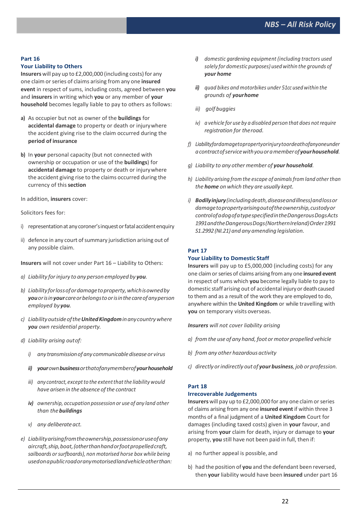#### **Part 16**

#### **Your Liability to Others**

Insurers will pay up to £2,000,000 (including costs) for any one claim orseries of claims arising from any one **insured event** in respect of sums, including costs, agreed between **you**  and **insurers** in writing which **you** or any member of **your household** becomes legally liable to pay to others as follows:

- **a)** As occupier but not as owner of the **buildings** for **accidental damage** to property or death or injurywhere the accident giving rise to the claim occurred during the **period of insurance**
- **b)** In **your** personal capacity (but not connected with ownership or occupation or use of the **buildings**) for **accidental damage** to property or death or injurywhere the accident giving rise to the claims occurred during the currency of this**section**

In addition, **insurers** cover:

Solicitors fees for:

- i) representation at any coroner's inquest or fatal accident enquiry
- ii) defence in any court of summary jurisdiction arising out of any possible claim.

**Insurers** will not cover under Part 16 – Liability to Others:

- *a) Liability forinjury to any person employed by you.*
- *b) Liabilityforlossofordamagetoproperty,whichisownedby youorisinyour careorbelongstoorisinthecareofanyperson employed by you.*
- *c) LiabilityoutsideoftheUnitedKingdominanycountrywhere you own residential property.*
- *d) Liability arising outof:*
	- *i) any transmissionof any communicablediseaseor virus*
	- *ii) yourownbusinessorthatofanymemberofyourhousehold*
	- *iii) any contract, exceptto the extentthatthe liability would have arisen in the absence ofthe contract*
	- *iv) ownership, occupation possession or use of any land other than thebuildings*
	- *v*) any deliberate act.
- *e) Liabilityarisingfromtheownership,possessionoruseofany aircraft,ship,boat,(otherthanhandorfootpropelledcraft, sailboards orsurfboards), non motorised horse box while being usedonapublicroadoranymotorisedlandvehicleotherthan:*
- *i) domestic gardening equipment (including tractors used solely for domestic purposes) used within the grounds of your home*
- *ii) quad bikes and motorbikes under 51cc used within the grounds of yourhome*
- *iii) golf buggies*
- *iv) a vehicle for use by a disabled person that does notrequire registration for theroad.*
- *f) Liabilityfordamagetopropertyorinjurytoordeathofanyoneunder acontractofservicewithyouoramemberofyourhousehold.*
- *g) Liability to any other member of your household.*
- *h) Liability arising from the escape of animalsfrom land other than the home on which they are usually kept.*
- *i) Bodilyinjury(includingdeath,diseaseandillness)andlossor damagetopropertyarisingoutoftheownership,custodyor controlofadogofatypespecifiedintheDangerousDogsActs 1991andtheDangerousDogs(NorthernIreland)Order1991 S1.2992(NI.21) and any amending legislation.*

#### **Part 17**

#### **Your Liability to Domestic Staff**

**Insurers** will pay up to £5,000,000 (including costs) for any one claimorseries of claims arising fromany one **insured event**  in respect of sums which **you** become legally liable to pay to domestic staff arising out of accidental injury or death caused to them and as a result of the work they are employed to do, anywhere within the **United Kingdom** or while travelling with **you** on temporary visits overseas.

*Insurers will not cover liability arising*

- *a) fromthe use of any hand,foot ormotor propelled vehicle*
- *b) from any other hazardous activity*
- *c) directly orindirectly out of your business, job or profession.*

### **Part 18**

#### **Irrecoverable Judgements**

**Insurers** will pay up to £2,000,000 for any one claim or series of claims arising from any one **insured event** if within three 3 months of a final judgment of a **United Kingdom** Court for damages (including taxed costs) given in **your** favour, and arising from **your** claim for death, injury or damage to **your**  property, **you** still have not been paid in full, then if:

- a) no further appeal is possible, and
- b) had the position of **you** and the defendant been reversed, then **your** liability would have been **insured** under part 16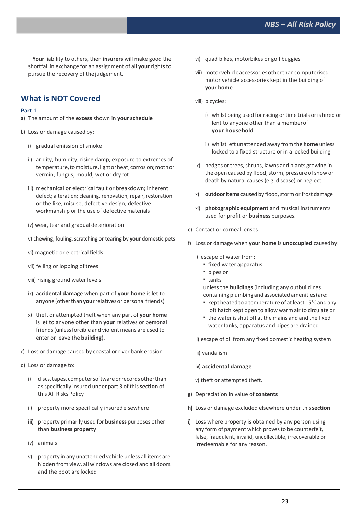– **Your** liability to others, then **insurers** will make good the shortfall in exchange for an assignment of all **your** rights to pursue the recovery of the judgement.

## **What is NOT Covered**

#### **Part 1**

- **a)** The amount of the **excess** shown in **your schedule**
- b) Loss or damage caused by:
	- i) gradual emission of smoke
	- ii) aridity, humidity; rising damp, exposure to extremes of temperature, to moisture, light or heat; corrosion; moth or vermin; fungus; mould; wet or dryrot
	- iii) mechanical or electrical fault or breakdown; inherent defect; alteration; cleaning, renovation, repair, restoration or the like; misuse; defective design; defective workmanship or the use of defective materials
	- iv) wear, tear and gradual deterioration
	- v) chewing, fouling, scratching or tearing by your domestic pets
	- vi) magnetic or electrical fields
	- vii) felling or lopping of trees
	- viii) rising ground water levels
	- ix) **accidental damage** when part of **your home** is let to anyone (other than your relatives or personal friends)
	- x) theft or attempted theft when any part of **your home**  is let to anyone other than **your** relatives or personal friends (unless forcible and violent means are used to enter or leave the **building**).
- c) Loss or damage caused by coastal or river bank erosion
- d) Loss or damage to:
	- i) discs, tapes, computer software or records other than asspecifically insured under part 3 of this**section** of this All Risks Policy
	- ii) property more specifically insuredelsewhere
	- **iii)** property primarily used for **business** purposes other than **business property**
	- iv) animals
	- v) property in any unattended vehicle unless all items are hidden from view, all windows are closed and all doors and the boot are locked
- vi) quad bikes, motorbikes or golf buggies
- **vii)** motor vehicleaccessoriesotherthancomputerised motor vehicle accessories kept in the building of **your home**
- viii) bicycles:
	- i) whilst being used for racing or time trials or is hired or lent to anyone other than a memberof **your household**
	- ii) whilst left unattended away from the **home** unless locked to a fixed structure or in a locked building
- ix) hedges or trees, shrubs, lawns and plants growing in the open caused by flood, storm, pressure of snow or death by natural causes(e.g. disease) or neglect
- x) **outdoor items** caused by flood, storm or frost damage
- xi) **photographic equipment** and musical instruments used for profit or **business** purposes.
- e) Contact or corneal lenses
- f) Loss or damage when **your home** is **unoccupied** causedby:

i) escape of water from:

- **fixed water apparatus**
- **pipes or**
- tanks

unless the **buildings** (including any outbuildings containingplumbingandassociatedamenities) are:

- kept heated to a temperature of at least 15°C and any loft hatch kept open to allow warm air to circulate or
- the waterisshut off at the mains and and the fixed water tanks, apparatus and pipes are drained
- ii) escape of oil from any fixed domestic heating system
- iii) vandalism
- **iv) accidental damage**
- v) theft or attempted theft.
- **g)** Depreciation in value of **contents**
- **h)** Loss or damage excluded elsewhere under this**section**
- i) Loss where property is obtained by any person using any form of payment which proves to be counterfeit, false, fraudulent, invalid, uncollectible, irrecoverable or irredeemable for any reason.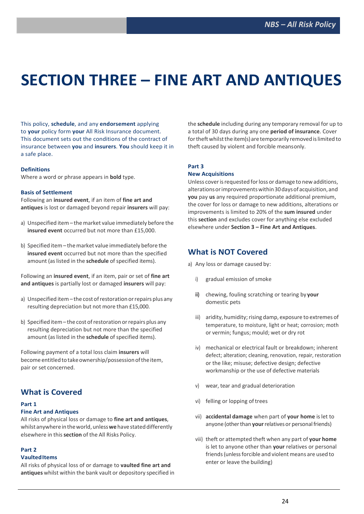# **SECTION THREE – FINE ART AND ANTIQUES**

This policy, **schedule**, and any **endorsement** applying to **your** policy form **your** All Risk Insurance document. This document sets out the conditions of the contract of insurance between **you** and **insurers**. **You** should keep it in a safe place.

#### **Definitions**

Where a word or phrase appears in **bold** type.

#### **Basis of Settlement**

Following an **insured event**, if an item of **fine art and antiques** is lost or damaged beyond repair **insurers** will pay:

- a) Unspecified item the market value immediately before the **insured event** occurred but not more than £15,000.
- b) Specified item the market value immediately before the **insured event** occurred but not more than the specified amount (as listed in the **schedule** of specified items).

Following an **insured event**, if an item, pair or set of **fine art and antiques** is partially lost or damaged **insurers** will pay:

- a) Unspecified item the cost of restoration or repairs plus any resulting depreciation but not more than £15,000.
- b) Specified item the cost of restoration or repairs plus any resulting depreciation but not more than the specified amount (aslisted in the **schedule** of specified items).

Following payment of a total loss claim **insurers** will become entitled to take ownership/possession of the item, pair or set concerned.

## **What is Covered**

#### **Part 1**

#### **Fine Art and Antiques**

All risks of physical loss or damage to **fine art and antiques**, whilstanywhereintheworld,unless**we**havestateddifferently elsewhere in this**section** of the All Risks Policy.

#### **Part 2**

#### **VaultedItems**

All risks of physical loss of or damage to **vaulted fine art and antiques** whilst within the bank vault or depository specified in the **schedule** including during any temporary removal for up to a total of 30 days during any one **period of insurance**. Cover for theft whilst the item(s) are temporarily removed is limited to theft caused by violent and forcible meansonly.

#### **Part 3**

#### **New Acquisitions**

Unless cover is requested for loss or damage to new additions, alterationsorimprovementswithin30daysof acquisition,and **you** pay **us** any required proportionate additional premium, the cover for loss or damage to new additions, alterations or improvements is limited to 20% of the **sum insured** under this **section** and excludes cover for anything else excluded elsewhere under **Section 3 – Fine Art and Antiques**.

## **What is NOT Covered**

- a) Any loss or damage caused by:
	- i) gradual emission of smoke
	- **ii)** chewing, fouling scratching or tearing by **your** domestic pets
	- iii) aridity, humidity; rising damp, exposure to extremes of temperature, to moisture, light or heat; corrosion; moth or vermin; fungus; mould; wet or dry rot
	- iv) mechanical or electrical fault or breakdown; inherent defect; alteration; cleaning, renovation, repair, restoration or the like; misuse; defective design; defective workmanship or the use of defective materials
	- v) wear, tear and gradual deterioration
	- vi) felling or lopping of trees
	- vii) **accidental damage** when part of **your home** is let to anyone (other than your relatives or personal friends)
	- viii) theft or attempted theft when any part of **your home**  is let to anyone other than **your** relatives or personal friends(unlessforcible and violent means are used to enter or leave the building)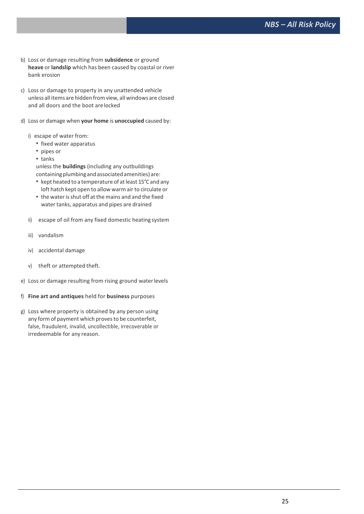- b) Loss or damage resulting from **subsidence** or ground **heave** or **landslip** which has been caused by coastal or river bank erosion
- c) Loss or damage to property in any unattended vehicle unless all items are hidden fromview, all windows are closed and all doors and the boot arelocked
- d) Loss or damage when **your home** is **unoccupied** caused by:
	- i) escape of water from:
		- **fixed water apparatus**
		- pipes or
		- tanks

unless the **buildings** (including any outbuildings containingplumbingandassociatedamenities) are:

- kept heated to a temperature of at least 15°C and any loft hatch kept open to allow warm air to circulate or
- " the water is shut off at the mains and and the fixed water tanks, apparatus and pipes are drained
- ii) escape of oil from any fixed domestic heating system
- iii) vandalism
- iv) accidental damage
- v) theft or attempted theft.
- e) Loss or damage resulting from rising ground waterlevels
- f) **Fine art and antiques** held for **business** purposes
- g) Loss where property is obtained by any person using any form of payment which provesto be counterfeit, false, fraudulent, invalid, uncollectible, irrecoverable or irredeemable for any reason.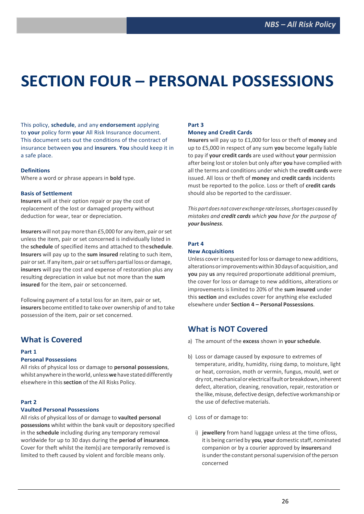# **SECTION FOUR – PERSONAL POSSESSIONS**

This policy, **schedule**, and any **endorsement** applying to **your** policy form **your** All Risk Insurance document. This document sets out the conditions of the contract of insurance between **you** and **insurers**. **You** should keep it in a safe place.

#### **Definitions**

Where a word or phrase appears in **bold** type.

#### **Basis of Settlement**

**Insurers** will at their option repair or pay the cost of replacement of the lost or damaged property without deduction for wear, tear or depreciation.

**Insurers** will not pay more than £5,000 for any item, pair orset unless the item, pair or set concerned is individually listed in the **schedule** of specified items and attached to the**schedule**. **Insurers** will pay up to the **sum insured** relating to such item, pair or set. If any item, pair or set suffers partial loss or damage, **insurers** will pay the cost and expense of restoration plus any resulting depreciation in value but not more than the **sum insured** for the item, pair or setconcerned.

Following payment of a total loss for an item, pair or set, **insurers** become entitled to take over ownership of and to take possession of the item, pair or set concerned.

## **What is Covered**

#### **Part 1**

#### **Personal Possessions**

All risks of physical loss or damage to **personal possessions**, whilst anywhere in the world, unless we have stated differently elsewhere in this**section** of the All Risks Policy.

#### **Part 2**

#### **Vaulted Personal Possessions**

All risks of physical loss of or damage to **vaulted personal possessions** whilst within the bank vault or depository specified in the **schedule** including during any temporary removal worldwide for up to 30 days during the **period of insurance**. Cover for theft whilst the item(s) are temporarily removed is limited to theft caused by violent and forcible means only.

## **Part 3**

### **Money and Credit Cards**

**Insurers** will pay up to £1,000 for loss or theft of **money** and up to £5,000 in respect of any sum **you** become legally liable to pay if **your credit cards** are used without **your** permission after being lost or stolen but only after **you** have complied with all the terms and conditions under which the **credit cards** were issued. All loss or theft of **money** and **credit cards** incidents must be reported to the police. Loss or theft of **credit cards**  should also be reported to the cardissuer.

*This* part does not cover exchange rate losses, shortages caused by *mistakes and credit cards which you have for the purpose of your business.*

#### **Part 4**

#### **New Acquisitions**

Unless cover is requested for loss or damage to new additions, alterationsorimprovementswithin30daysof acquisition,and **you** pay **us** any required proportionate additional premium, the cover for loss or damage to new additions, alterations or improvements is limited to 20% of the **sum insured** under this **section** and excludes cover for anything else excluded elsewhere under **Section 4 – Personal Possessions**.

## **What is NOT Covered**

- a) The amount of the **excess** shown in **yourschedule**.
- b) Loss or damage caused by exposure to extremes of temperature, aridity, humidity, rising damp, to moisture, light or heat, corrosion, moth or vermin, fungus, mould, wet or dry rot, mechanical or electrical fault or breakdown, inherent defect, alteration, cleaning, renovation, repair, restoration or the like, misuse, defective design, defective workmanship or the use of defective materials.
- c) Loss of or damage to:
	- i) **jewellery** from hand luggage unless at the time ofloss, it is being carried by **you**, **your** domestic staff, nominated companion or by a courier approved by **insurers**and is under the constant personal supervision of the person concerned